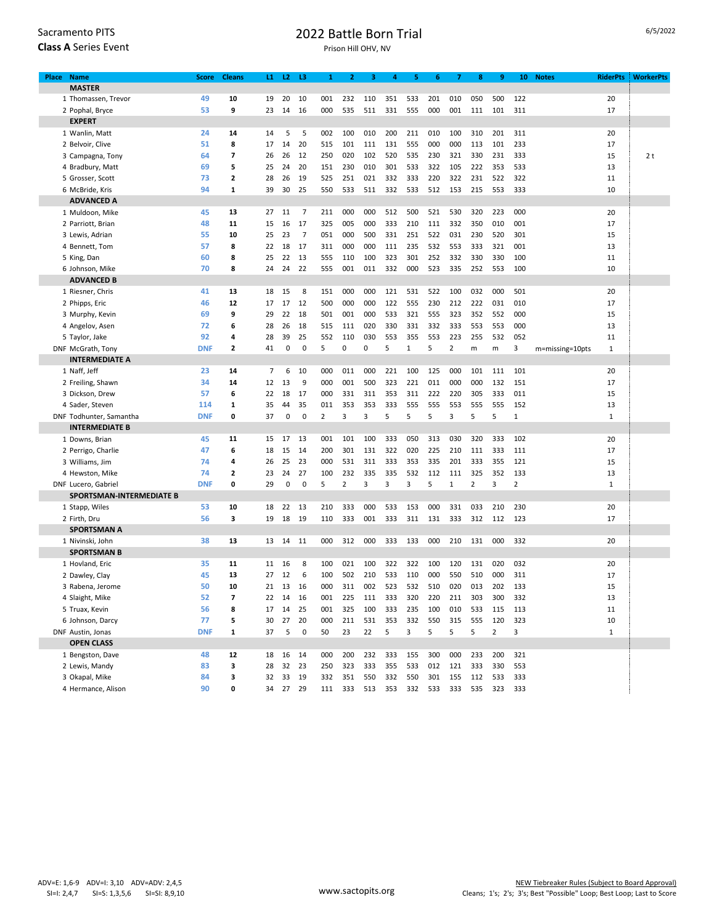| Sacramento PITS             |  |  |  |  |  |  |  |  |  |  |
|-----------------------------|--|--|--|--|--|--|--|--|--|--|
| <b>Class A Series Event</b> |  |  |  |  |  |  |  |  |  |  |

## 2022 Battle Born Trial

Prison Hill OHV, NV

| Place | <b>Name</b>              | <b>Score</b> | <b>Cleans</b>           | $\mathbf{L}$ | L2          | L3             | 1   | $\overline{2}$ | з   | 4   | 5            | 6           | 7            | 8              | 9              | 10             | <b>Notes</b>    | <b>RiderPts</b> | <b>WorkerPts</b> |
|-------|--------------------------|--------------|-------------------------|--------------|-------------|----------------|-----|----------------|-----|-----|--------------|-------------|--------------|----------------|----------------|----------------|-----------------|-----------------|------------------|
|       | <b>MASTER</b>            |              |                         |              |             |                |     |                |     |     |              |             |              |                |                |                |                 |                 |                  |
|       | 1 Thomassen, Trevor      | 49           | 10                      | 19           | 20          | 10             | 001 | 232            | 110 | 351 | 533          | 201         | 010          | 050            | 500            | 122            |                 | 20              |                  |
|       | 2 Pophal, Bryce          | 53           | 9                       | 23           | 14          | 16             | 000 | 535            | 511 | 331 | 555          | 000         | 001          | 111            | 101            | 311            |                 | 17              |                  |
|       | <b>EXPERT</b>            |              |                         |              |             |                |     |                |     |     |              |             |              |                |                |                |                 |                 |                  |
|       | 1 Wanlin, Matt           | 24           | 14                      | 14           | 5           | 5              | 002 | 100            | 010 | 200 | 211          | 010         | 100          | 310            | 201            | 311            |                 | 20              |                  |
|       | 2 Belvoir, Clive         | 51           | 8                       | 17           | 14          | 20             | 515 | 101            | 111 | 131 | 555          | 000         | 000          | 113            | 101            | 233            |                 | 17              |                  |
|       | 3 Campagna, Tony         | 64           | $\overline{\mathbf{z}}$ | 26           | 26          | 12             | 250 | 020            | 102 | 520 | 535          | 230         | 321          | 330            | 231            | 333            |                 | 15              | 2 <sub>t</sub>   |
|       | 4 Bradbury, Matt         | 69           | 5                       | 25           | 24          | 20             | 151 | 230            | 010 | 301 | 533          | 322         | 105          | 222            | 353            | 533            |                 | 13              |                  |
|       | 5 Grosser, Scott         | 73           | $\overline{\mathbf{2}}$ | 28           | 26          | 19             | 525 | 251            | 021 | 332 | 333          | 220         | 322          | 231            | 522            | 322            |                 | 11              |                  |
|       | 6 McBride, Kris          | 94           | 1                       | 39           | 30          | 25             | 550 | 533            | 511 | 332 | 533          | 512         | 153          | 215            | 553            | 333            |                 | 10              |                  |
|       | <b>ADVANCED A</b>        |              |                         |              |             |                |     |                |     |     |              |             |              |                |                |                |                 |                 |                  |
|       | 1 Muldoon, Mike          | 45           | 13                      | 27           | 11          | 7              | 211 | 000            | 000 | 512 | 500          | 521         | 530          | 320            | 223            | 000            |                 | 20              |                  |
|       | 2 Parriott, Brian        | 48           | 11                      | 15           | 16          | 17             | 325 | 005            | 000 | 333 | 210          | 111         | 332          | 350            | 010            | 001            |                 | 17              |                  |
|       | 3 Lewis, Adrian          | 55           | 10                      | 25           | 23          | $\overline{7}$ | 051 | 000            | 500 | 331 | 251          | 522         | 031          | 230            | 520            | 301            |                 | 15              |                  |
|       | 4 Bennett, Tom           | 57           | 8                       | 22           | 18          | 17             | 311 | 000            | 000 | 111 | 235          | 532         | 553          | 333            | 321            | 001            |                 | 13              |                  |
|       | 5 King, Dan              | 60           | 8                       | 25           | 22          | 13             | 555 | 110            | 100 | 323 | 301          | 252         | 332          | 330            | 330            | 100            |                 | 11              |                  |
|       | 6 Johnson, Mike          | 70           | 8                       | 24           | 24          | 22             | 555 | 001            | 011 | 332 | 000          | 523         | 335          | 252            | 553            | 100            |                 | 10              |                  |
|       | <b>ADVANCED B</b>        |              |                         |              |             |                |     |                |     |     |              |             |              |                |                |                |                 |                 |                  |
|       | 1 Riesner, Chris         | 41           | 13                      | 18           | 15          | 8              | 151 | 000            | 000 | 121 | 531          | 522         | 100          | 032            | 000            | 501            |                 | 20              |                  |
|       | 2 Phipps, Eric           | 46           | 12                      | 17           | 17          | 12             | 500 | 000            | 000 | 122 | 555          | 230         | 212          | 222            | 031            | 010            |                 | 17              |                  |
|       | 3 Murphy, Kevin          | 69           | 9                       | 29           | 22          | 18             | 501 | 001            | 000 | 533 | 321          | 555         | 323          | 352            | 552            | 000            |                 | 15              |                  |
|       | 4 Angelov, Asen          | 72           | 6                       | 28           | 26          | 18             | 515 | 111            | 020 | 330 | 331          | 332         | 333          | 553            | 553            | 000            |                 | 13              |                  |
|       | 5 Taylor, Jake           | 92           | 4                       | 28           | 39          | 25             | 552 | 110            | 030 | 553 | 355          | 553         | 223          | 255            | 532            | 052            |                 | 11              |                  |
|       | DNF McGrath, Tony        | <b>DNF</b>   | $\overline{2}$          | 41           | 0           | 0              | 5   | 0              | 0   | 5   | $\mathbf{1}$ | 5           | 2            | m              | m              | 3              | m=missing=10pts | 1               |                  |
|       | <b>INTERMEDIATE A</b>    |              |                         |              |             |                |     |                |     |     |              |             |              |                |                |                |                 |                 |                  |
|       | 1 Naff, Jeff             | 23           | 14                      | 7            | 6           | 10             | 000 | 011            | 000 | 221 | 100          | 125         | 000          | 101            | 111            | 101            |                 | 20              |                  |
|       | 2 Freiling, Shawn        | 34           | 14                      | 12           | 13          | 9              | 000 | 001            | 500 | 323 | 221          | 011         | 000          | 000            | 132            | 151            |                 | 17              |                  |
|       | 3 Dickson, Drew          | 57           | 6                       | 22           | 18          | 17             | 000 | 331            | 311 | 353 | 311          | 222         | 220          | 305            | 333            | 011            |                 | 15              |                  |
|       | 4 Sader, Steven          | 114          | 1                       | 35           | 44          | 35             | 011 | 353            | 353 | 333 | 555          | 555         | 553          | 555            | 555            | 152            |                 | 13              |                  |
|       | DNF Todhunter, Samantha  | <b>DNF</b>   | 0                       | 37           | 0           | 0              | 2   | 3              | 3   | 5   | 5            | 5           | 3            | 5              | 5              | $\mathbf{1}$   |                 | $\mathbf{1}$    |                  |
|       | <b>INTERMEDIATE B</b>    |              |                         |              |             |                |     |                |     |     |              |             |              |                |                |                |                 |                 |                  |
|       | 1 Downs, Brian           | 45           | 11                      | 15           | 17          | 13             | 001 | 101            | 100 | 333 | 050          | 313         | 030          | 320            | 333            | 102            |                 | 20              |                  |
|       | 2 Perrigo, Charlie       | 47           | 6                       | 18           | 15          | 14             | 200 | 301            | 131 | 322 | 020          | 225         | 210          | 111            | 333            | 111            |                 | 17              |                  |
|       | 3 Williams, Jim          | 74           | 4                       | 26           | 25          | 23             | 000 | 531            | 311 | 333 | 353          | 335         | 201          | 333            | 355            | 121            |                 | 15              |                  |
|       | 4 Hewston, Mike          | 74           | 2                       | 23           | 24          | 27             | 100 | 232            | 335 | 335 | 532          | 112         | 111          | 325            | 352            | 133            |                 | 13              |                  |
|       | DNF Lucero, Gabriel      | <b>DNF</b>   | 0                       | 29           | $\mathbf 0$ | $\mathbf 0$    | 5   | $\overline{2}$ | 3   | 3   | 3            | 5           | $\mathbf{1}$ | $\overline{2}$ | 3              | $\overline{2}$ |                 | $\mathbf{1}$    |                  |
|       | SPORTSMAN-INTERMEDIATE B |              |                         |              |             |                |     |                |     |     |              |             |              |                |                |                |                 |                 |                  |
|       | 1 Stapp, Wiles           | 53           | 10                      | 18           | 22          | 13             | 210 | 333            | 000 | 533 | 153          | 000         | 331          | 033            | 210            | 230            |                 | 20              |                  |
|       | 2 Firth, Dru             | 56           | 3                       | 19           | 18          | 19             | 110 | 333            | 001 | 333 | 311          | 131         | 333          | 312            | 112            | 123            |                 | 17              |                  |
|       | <b>SPORTSMAN A</b>       |              |                         |              |             |                |     |                |     |     |              |             |              |                |                |                |                 |                 |                  |
|       | 1 Nivinski, John         | 38           | 13                      | 13           | 14          | 11             | 000 | 312            | 000 | 333 | 133          | 000         | 210          | 131            | 000            | 332            |                 | 20              |                  |
|       | <b>SPORTSMAN B</b>       |              |                         |              |             |                |     |                |     |     |              |             |              |                |                |                |                 |                 |                  |
|       | 1 Hovland, Eric          | 35           | 11                      | 11           | 16          | 8              | 100 | 021            | 100 | 322 | 322          | 100         | 120          | 131            | 020            | 032            |                 | 20              |                  |
|       | 2 Dawley, Clay           | 45           | 13                      | 27           | 12          | 6              | 100 | 502            | 210 | 533 | 110          | 000         | 550          | 510            | 000            | 311            |                 | 17              |                  |
|       | 3 Rabena, Jerome         | 50           | 10                      | 21           | 13          | 16             | 000 | 311            | 002 | 523 | 532          | 510         | 020          | 013            | 202            | 133            |                 | 15              |                  |
|       | 4 Slaight, Mike          | 52           | 7                       | 22           | 14          | 16             | 001 | 225            | 111 | 333 | 320          | 220         | 211          | 303            | 300            | 332            |                 | 13              |                  |
|       | 5 Truax, Kevin           | 56           | 8                       | 17           | 14          | 25             | 001 | 325            | 100 | 333 | 235          | 100         | 010          | 533            | 115            | 113            |                 | 11              |                  |
|       | 6 Johnson, Darcy         | 77           | 5                       | 30           | 27          | 20             | 000 | 211            | 531 | 353 | 332          | 550         | 315          | 555            | 120            | 323            |                 | 10              |                  |
|       | DNF Austin, Jonas        | <b>DNF</b>   | $\mathbf{1}$            | 37           | 5           | 0              | 50  | 23             | 22  | 5   | 3            | 5           | 5            | 5              | $\overline{2}$ | 3              |                 | $\mathbf{1}$    |                  |
|       | <b>OPEN CLASS</b>        |              |                         |              |             |                |     |                |     |     |              |             |              |                |                |                |                 |                 |                  |
|       | 1 Bengston, Dave         | 48           | 12                      | 18           | 16          | 14             | 000 | 200            | 232 | 333 | 155          | 300         | 000          | 233            | 200            | 321            |                 |                 |                  |
|       | 2 Lewis, Mandy           | 83           | 3                       | 28           | 32          | 23             | 250 | 323            | 333 | 355 | 533          | 012         | 121          | 333            | 330            | 553            |                 |                 |                  |
|       | 3 Okapal, Mike           | 84           | 3                       | 32           | 33          | 19             | 332 | 351            | 550 | 332 | 550          | 301         | 155          | 112            | 533            | 333            |                 |                 |                  |
|       | 4 Hermance, Alison       | 90           | 0                       |              | 34 27 29    |                |     | 111 333        | 513 | 353 |              | 332 533 333 |              | 535            | 323            | 333            |                 |                 |                  |
|       |                          |              |                         |              |             |                |     |                |     |     |              |             |              |                |                |                |                 |                 |                  |